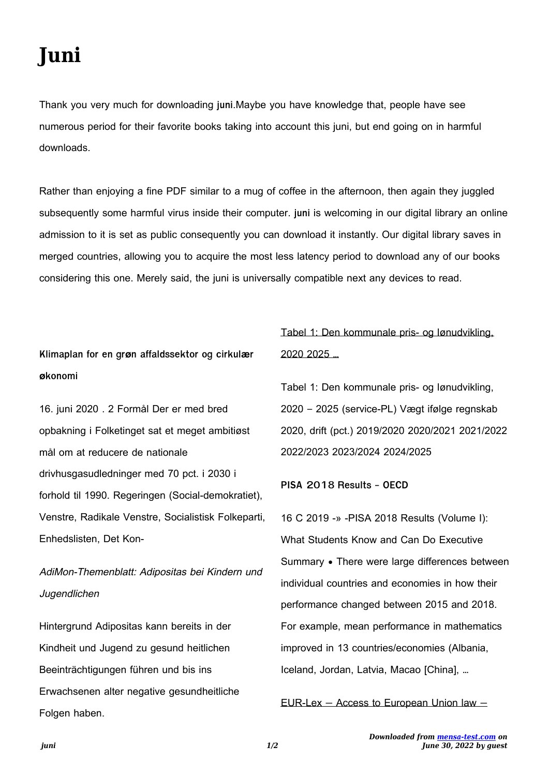# **Juni**

Thank you very much for downloading **juni**.Maybe you have knowledge that, people have see numerous period for their favorite books taking into account this juni, but end going on in harmful downloads.

Rather than enjoying a fine PDF similar to a mug of coffee in the afternoon, then again they juggled subsequently some harmful virus inside their computer. **juni** is welcoming in our digital library an online admission to it is set as public consequently you can download it instantly. Our digital library saves in merged countries, allowing you to acquire the most less latency period to download any of our books considering this one. Merely said, the juni is universally compatible next any devices to read.

### **Klimaplan for en grøn affaldssektor og cirkulær økonomi**

16. juni 2020 . 2 Formål Der er med bred opbakning i Folketinget sat et meget ambitiøst mål om at reducere de nationale drivhusgasudledninger med 70 pct. i 2030 i forhold til 1990. Regeringen (Social-demokratiet), Venstre, Radikale Venstre, Socialistisk Folkeparti, Enhedslisten, Det Kon-

## AdiMon-Themenblatt: Adipositas bei Kindern und Jugendlichen

Hintergrund Adipositas kann bereits in der Kindheit und Jugend zu gesund heitlichen Beeinträchtigungen führen und bis ins Erwachsenen alter negative gesundheitliche Folgen haben.

## Tabel 1: Den kommunale pris- og lønudvikling, 2020 2025 …

Tabel 1: Den kommunale pris- og lønudvikling, 2020 – 2025 (service-PL) Vægt ifølge regnskab 2020, drift (pct.) 2019/2020 2020/2021 2021/2022 2022/2023 2023/2024 2024/2025

**PISA 2018 Results - OECD**

16 C 2019 -» -PISA 2018 Results (Volume I): What Students Know and Can Do Executive Summary • There were large differences between individual countries and economies in how their performance changed between 2015 and 2018. For example, mean performance in mathematics improved in 13 countries/economies (Albania, Iceland, Jordan, Latvia, Macao [China], …

EUR-Lex — Access to European Union law —